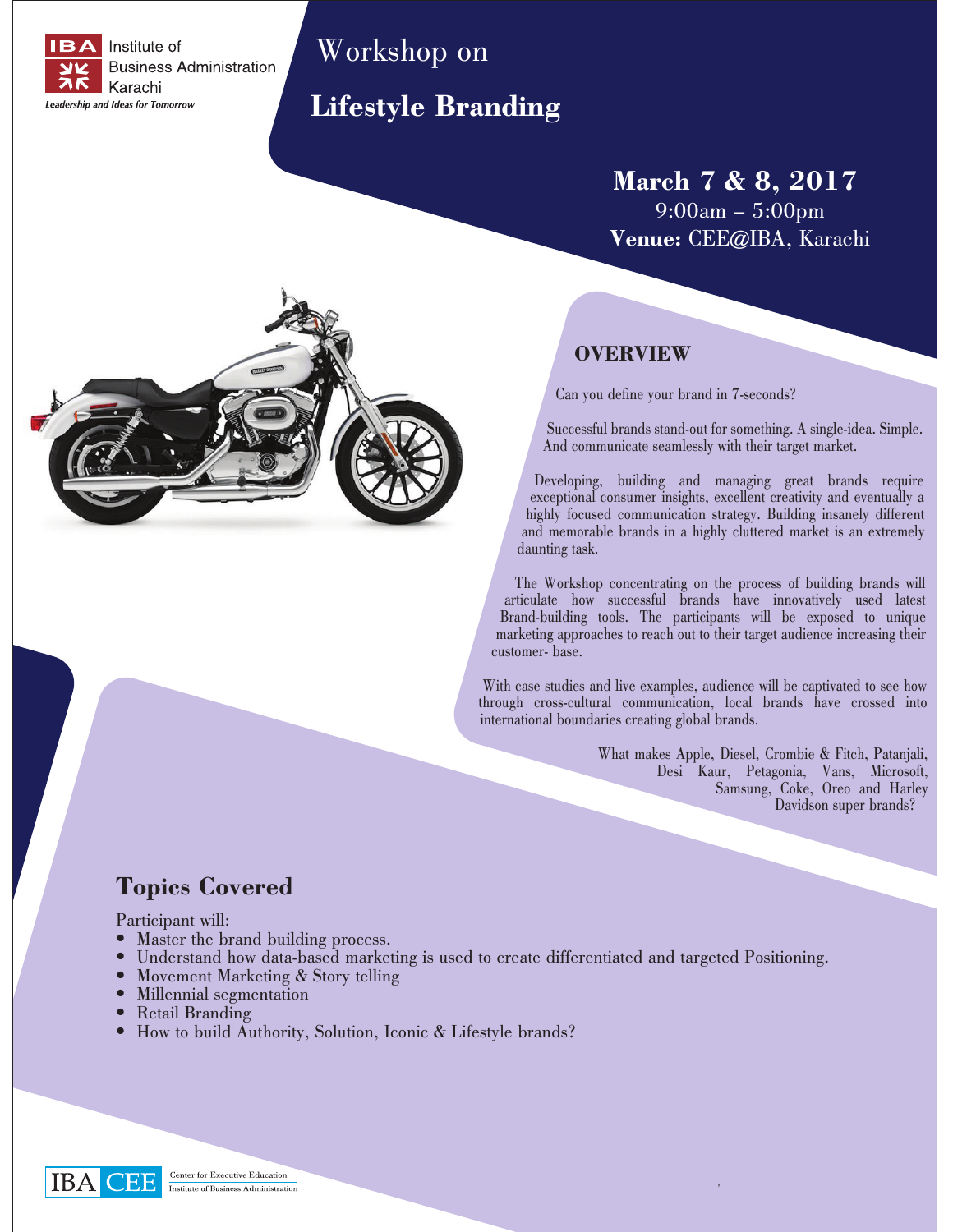

# Workshop on

## **Lifestyle Branding**

**March 7 & 8, 2017** 9:00am – 5:00pm **Venue:** CEE@IBA, Karachi

### **OVERVIEW**

Can you define your brand in 7-seconds?

Successful brands stand-out for something. A single-idea. Simple. And communicate seamlessly with their target market.

Developing, building and managing great brands require exceptional consumer insights, excellent creativity and eventually a highly focused communication strategy. Building insanely different and memorable brands in a highly cluttered market is an extremely daunting task.

 The Workshop concentrating on the process of building brands will articulate how successful brands have innovatively used latest Brand-building tools. The participants will be exposed to unique marketing approaches to reach out to their target audience increasing their customer- base.

With case studies and live examples, audience will be captivated to see how through cross-cultural communication, local brands have crossed into international boundaries creating global brands.

'

What makes Apple, Diesel, Crombie & Fitch, Patanjali, Desi Kaur, Petagonia, Vans, Microsoft, Samsung, Coke, Oreo and Harley Davidson super brands?

## **Topics Covered**

Participant will:

- Master the brand building process.
- Understand how data-based marketing is used to create differentiated and targeted Positioning.
- Movement Marketing & Story telling<br>• Millennial segmentation
- Millennial segmentation
- Retail Branding
- How to build Authority, Solution, Iconic & Lifestyle brands?

IBA |

Center for Executive Education Institute of Business Administration